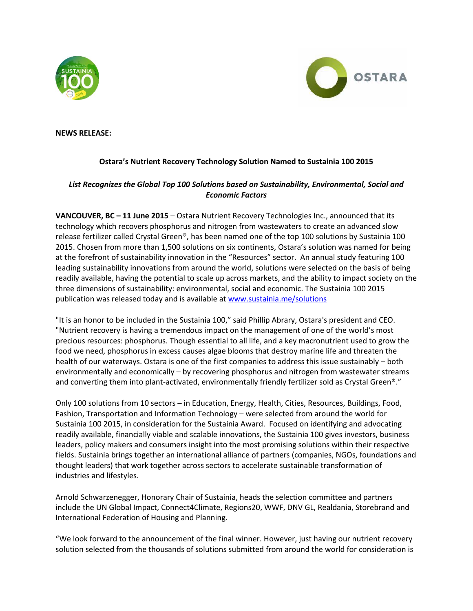



## **NEWS RELEASE:**

## **Ostara's Nutrient Recovery Technology Solution Named to Sustainia 100 2015**

## *List Recognizes the Global Top 100 Solutions based on Sustainability, Environmental, Social and Economic Factors*

**VANCOUVER, BC – 11 June 2015** – Ostara Nutrient Recovery Technologies Inc., announced that its technology which recovers phosphorus and nitrogen from wastewaters to create an advanced slow release fertilizer called Crystal Green®, has been named one of the top 100 solutions by Sustainia 100 2015. Chosen from more than 1,500 solutions on six continents, Ostara's solution was named for being at the forefront of sustainability innovation in the "Resources" sector. An annual study featuring 100 leading sustainability innovations from around the world, solutions were selected on the basis of being readily available, having the potential to scale up across markets, and the ability to impact society on the three dimensions of sustainability: environmental, social and economic. The Sustainia 100 2015 publication was released today and is available at [www.sustainia.me/solutions](http://www.sustainia.me/solutions)

"It is an honor to be included in the Sustainia 100," said Phillip Abrary, Ostara's president and CEO. "Nutrient recovery is having a tremendous impact on the management of one of the world's most precious resources: phosphorus. Though essential to all life, and a key macronutrient used to grow the food we need, phosphorus in excess causes algae blooms that destroy marine life and threaten the health of our waterways. Ostara is one of the first companies to address this issue sustainably – both environmentally and economically – by recovering phosphorus and nitrogen from wastewater streams and converting them into plant-activated, environmentally friendly fertilizer sold as Crystal Green®."

Only 100 solutions from 10 sectors – in Education, Energy, Health, Cities, Resources, Buildings, Food, Fashion, Transportation and Information Technology – were selected from around the world for Sustainia 100 2015, in consideration for the Sustainia Award. Focused on identifying and advocating readily available, financially viable and scalable innovations, the Sustainia 100 gives investors, business leaders, policy makers and consumers insight into the most promising solutions within their respective fields. Sustainia brings together an international alliance of partners (companies, NGOs, foundations and thought leaders) that work together across sectors to accelerate sustainable transformation of industries and lifestyles.

Arnold Schwarzenegger, Honorary Chair of Sustainia, heads the selection committee and partners include the UN Global Impact, Connect4Climate, Regions20, WWF, DNV GL, Realdania, Storebrand and International Federation of Housing and Planning.

"We look forward to the announcement of the final winner. However, just having our nutrient recovery solution selected from the thousands of solutions submitted from around the world for consideration is